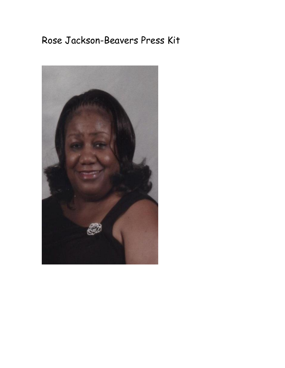# Rose Jackson-Beavers Press Kit

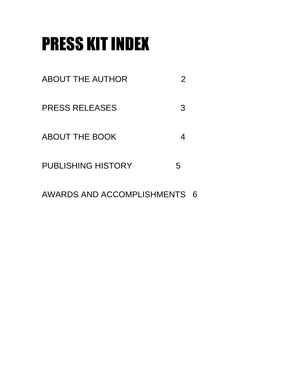# PRESS KIT INDEX

- ABOUT THE AUTHOR 2
- PRESS RELEASES 3
- ABOUT THE BOOK 4
- PUBLISHING HISTORY 5
- AWARDS AND ACCOMPLISHMENTS 6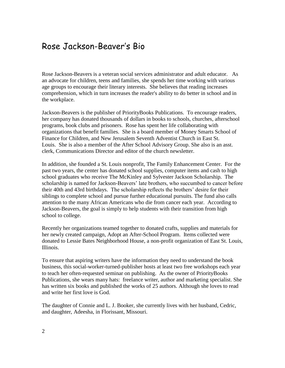## Rose Jackson-Beaver's Bio

Rose Jackson-Beavers is a veteran social services administrator and adult educator. As an advocate for children, teens and families, she spends her time working with various age groups to encourage their literary interests. She believes that reading increases comprehension, which in turn increases the reader's ability to do better in school and in the workplace.

Jackson-Beavers is the publisher of PriorityBooks Publications. To encourage readers, her company has donated thousands of dollars in books to schools, churches, afterschool programs, book clubs and prisoners. Rose has spent her life collaborating with organizations that benefit families. She is a board member of Money Smarts School of Finance for Children, and New Jerusalem Seventh Adventist Church in East St. Louis. She is also a member of the After School Advisory Group. She also is an asst. clerk, Communications Director and editor of the church newsletter.

In addition, she founded a St. Louis nonprofit, The Family Enhancement Center. For the past two years, the center has donated school supplies, computer items and cash to high school graduates who receive The McKinley and Sylvester Jackson Scholarship. The scholarship is named for Jackson-Beavers' late brothers, who succumbed to cancer before their 40th and 43rd birthdays. The scholarship reflects the brothers' desire for their siblings to complete school and pursue further educational pursuits. The fund also calls attention to the many African Americans who die from cancer each year. According to Jackson-Beavers, the goal is simply to help students with their transition from high school to college.

Recently her organizations teamed together to donated crafts, supplies and materials for her newly created campaign, Adopt an After-School Program. Items collected were donated to Lessie Bates Neighborhood House, a non-profit organization of East St. Louis, Illinois.

To ensure that aspiring writers have the information they need to understand the book business, this social-worker-turned-publisher hosts at least two free workshops each year to teach her often-requested seminar on publishing. As the owner of PriorityBooks Publications, she wears many hats: freelance writer, author and marketing specialist. She has written six books and published the works of 25 authors. Although she loves to read and write her first love is God.

The daughter of Connie and L. J. Booker, she currently lives with her husband, Cedric, and daughter, Adeesha, in Florissant, Missouri.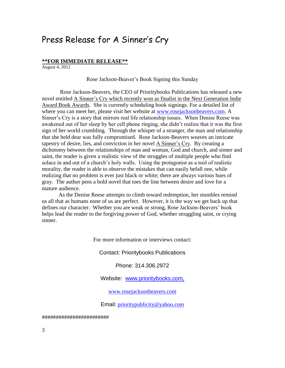#### Press Release for A Sinner's Cry

#### **\*\*FOR IMMEDIATE RELEASE\*\***

August 4, 2012

#### Rose Jackson-Beaver's Book Signing this Sunday

Rose Jackson-Beavers, the CEO of Prioritybooks Publications has released a new novel entitled A Sinner's Cry which recently won as finalist in the Next Generation Indie Award Book Awards. She is currently scheduling book signings. For a detailed list of where you can meet her, please visit her website at [www.rosejacksonbeavers.com.](http://www.rosejacksonbeavers.com/) A Sinner's Cry is a story that mirrors real life relationship issues. When Denise Reese was awakened out of her sleep by her cell phone ringing, she didn't realize that it was the first sign of her world crumbling. Through the whisper of a stranger, the man and relationship that she held dear was fully compromised. Rose Jackson-Beavers weaves an intricate tapestry of desire, lies, and conviction in her novel A Sinner's Cry. By creating a dichotomy between the relationships of man and woman, God and church, and sinner and saint, the reader is given a realistic view of the struggles of multiple people who find solace in and out of a church's holy walls. Using the protagonist as a tool of realistic morality, the reader is able to observe the mistakes that can easily befall one, while realizing that no problem is ever just black or white; there are always various hues of gray. The author pens a bold novel that toes the line between desire and love for a mature audience.

As the Denise Reese attempts to climb toward redemption, her stumbles remind us all that as humans none of us are perfect. However, it is the way we get back up that defines our character. Whether you are weak or strong, Rose Jackson-Beavers' book helps lead the reader to the forgiving power of God, whether struggling saint, or crying sinner.

For more information or interviews contact:

Contact: Prioritybooks Publications

Phone: 314.306.2972

Website: [www.prioritybooks.com,](http://www.prioritybooks.com/)

[www.rosejacksonbeavers.com](http://www.rosejacksonbeavers.com/)

Email: [prioritypublicity@yahoo.com](mailto:prioritypublicity@yahoo.com)

########################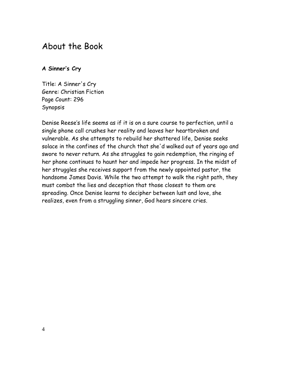## About the Book

#### **A Sinner's Cry**

Title: A Sinner's Cry Genre: Christian Fiction Page Count: 296 Synopsis

Denise Reese's life seems as if it is on a sure course to perfection, until a single phone call crushes her reality and leaves her heartbroken and vulnerable. As she attempts to rebuild her shattered life, Denise seeks solace in the confines of the church that she'd walked out of years ago and swore to never return. As she struggles to gain redemption, the ringing of her phone continues to haunt her and impede her progress. In the midst of her struggles she receives support from the newly appointed pastor, the handsome James Davis. While the two attempt to walk the right path, they must combat the lies and deception that those closest to them are spreading. Once Denise learns to decipher between lust and love, she realizes, even from a struggling sinner, God hears sincere cries.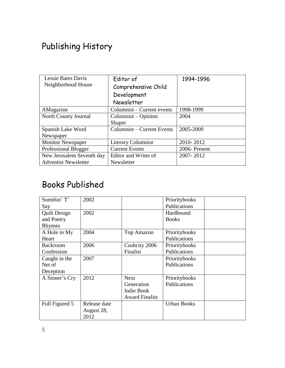# Publishing History

| <b>Lessie Bates Davis</b><br>Neighborhood House | Editor of<br>Comprehensive Child<br>Development<br>Newsletter | 1994-1996    |  |
|-------------------------------------------------|---------------------------------------------------------------|--------------|--|
| AMagazine                                       | Columnist – Current events                                    | 1998-1999    |  |
| North County Journal                            | Columnist – Opinion                                           | 2004         |  |
|                                                 | <b>Shaper</b>                                                 |              |  |
| Spanish Lake Word                               | Columnist – Current Events                                    | 2005-2009    |  |
| Newspaper                                       |                                                               |              |  |
| <b>Monitor Newspaper</b>                        | <b>Literary Columnist</b>                                     | 2010-2012    |  |
| Professional Blogger                            | <b>Current Events</b>                                         | 2006-Present |  |
| New Jerusalem Seventh day                       | Editor and Writer of                                          | 2007-2012    |  |
| <b>Adventist Newsletter</b>                     | Newsletter                                                    |              |  |

## Books Published

| Sumthin' T'         | 2002         |                       | Prioritybooks      |  |
|---------------------|--------------|-----------------------|--------------------|--|
| Say                 |              |                       | Publications       |  |
| <b>Quilt Design</b> | 2002         |                       | Hardbound          |  |
| and Poetry          |              |                       | <b>Books</b>       |  |
| Rhymes              |              |                       |                    |  |
| A Hole in My        | 2004         | <b>Top Amazon</b>     | Prioritybooks      |  |
| Heart               |              |                       | Publications       |  |
| <b>Backroom</b>     | 2006         | Cushcity 2006         | Prioritybooks      |  |
| Confession          |              | Finalist              | Publications       |  |
| Caught in the       | 2007         |                       | Prioritybooks      |  |
| Net of              |              |                       | Publications       |  |
| Deception           |              |                       |                    |  |
| A Sinner's Cry      | 2012         | <b>Next</b>           | Prioritybooks      |  |
|                     |              | Generation            | Publications       |  |
|                     |              | Indie Book            |                    |  |
|                     |              | <b>Award Finalist</b> |                    |  |
| Full Figured 5      | Release date |                       | <b>Urban Books</b> |  |
|                     | August 28,   |                       |                    |  |
|                     | 2012         |                       |                    |  |